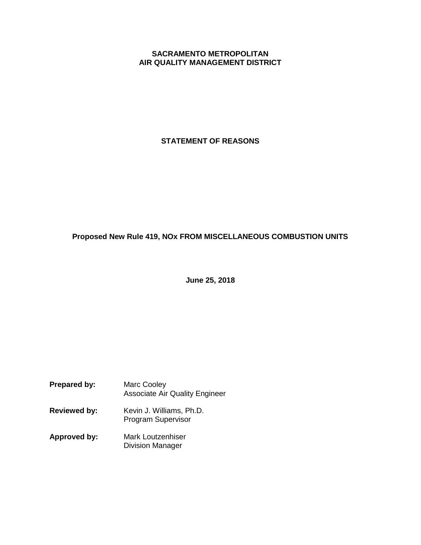## **SACRAMENTO METROPOLITAN AIR QUALITY MANAGEMENT DISTRICT**

**STATEMENT OF REASONS**

# **Proposed New Rule 419, NOx FROM MISCELLANEOUS COMBUSTION UNITS**

**June 25, 2018**

- **Prepared by:** Marc Cooley Associate Air Quality Engineer
- **Reviewed by:** Kevin J. Williams, Ph.D. Program Supervisor
- **Approved by:** Mark Loutzenhiser Division Manager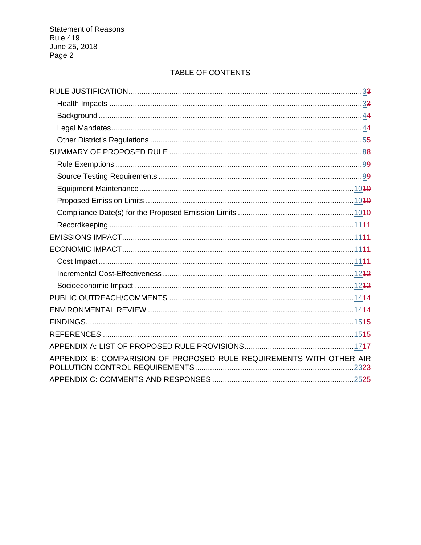# TABLE OF CONTENTS

| APPENDIX B: COMPARISION OF PROPOSED RULE REQUIREMENTS WITH OTHER AIR |
|----------------------------------------------------------------------|
|                                                                      |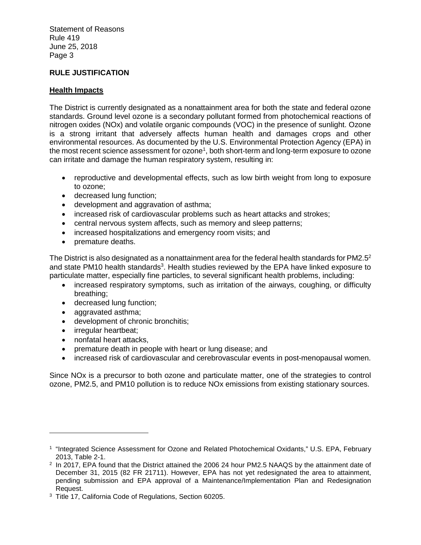# **RULE JUSTIFICATION**

## **Health Impacts**

The District is currently designated as a nonattainment area for both the state and federal ozone standards. Ground level ozone is a secondary pollutant formed from photochemical reactions of nitrogen oxides (NOx) and volatile organic compounds (VOC) in the presence of sunlight. Ozone is a strong irritant that adversely affects human health and damages crops and other environmental resources. As documented by the U.S. Environmental Protection Agency (EPA) in the most recent science assessment for ozone<sup>1</sup>, both short-term and long-term exposure to ozone can irritate and damage the human respiratory system, resulting in:

- reproductive and developmental effects, such as low birth weight from long to exposure to ozone;
- decreased lung function;
- development and aggravation of asthma;
- increased risk of cardiovascular problems such as heart attacks and strokes;
- central nervous system affects, such as memory and sleep patterns;
- increased hospitalizations and emergency room visits; and
- premature deaths.

The District is also designated as a nonattainment area for the federal health standards for PM2.5<sup>2</sup> and state PM10 health standards<sup>3</sup>. Health studies reviewed by the EPA have linked exposure to particulate matter, especially fine particles, to several significant health problems, including:

- increased respiratory symptoms, such as irritation of the airways, coughing, or difficulty breathing;
- decreased lung function;
- aggravated asthma;
- development of chronic bronchitis;
- irregular heartbeat:
- nonfatal heart attacks,
- premature death in people with heart or lung disease; and
- increased risk of cardiovascular and cerebrovascular events in post-menopausal women.

Since NOx is a precursor to both ozone and particulate matter, one of the strategies to control ozone, PM2.5, and PM10 pollution is to reduce NOx emissions from existing stationary sources.

<sup>&</sup>lt;sup>1</sup> "Integrated Science Assessment for Ozone and Related Photochemical Oxidants," U.S. EPA, February 2013, Table 2-1.

<sup>2</sup> In 2017, EPA found that the District attained the 2006 24 hour PM2.5 NAAQS by the attainment date of December 31, 2015 (82 FR 21711). However, EPA has not yet redesignated the area to attainment, pending submission and EPA approval of a Maintenance/Implementation Plan and Redesignation Request.

<sup>3</sup> Title 17, California Code of Regulations, Section 60205.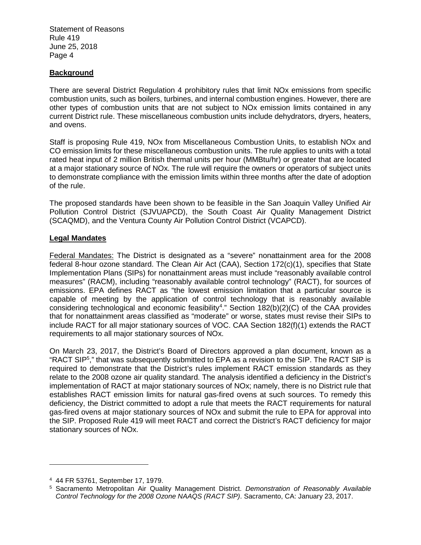#### **Background**

There are several District Regulation 4 prohibitory rules that limit NOx emissions from specific combustion units, such as boilers, turbines, and internal combustion engines. However, there are other types of combustion units that are not subject to NOx emission limits contained in any current District rule. These miscellaneous combustion units include dehydrators, dryers, heaters, and ovens.

Staff is proposing Rule 419, NOx from Miscellaneous Combustion Units, to establish NOx and CO emission limits for these miscellaneous combustion units. The rule applies to units with a total rated heat input of 2 million British thermal units per hour (MMBtu/hr) or greater that are located at a major stationary source of NOx. The rule will require the owners or operators of subject units to demonstrate compliance with the emission limits within three months after the date of adoption of the rule.

The proposed standards have been shown to be feasible in the San Joaquin Valley Unified Air Pollution Control District (SJVUAPCD), the South Coast Air Quality Management District (SCAQMD), and the Ventura County Air Pollution Control District (VCAPCD).

#### **Legal Mandates**

Federal Mandates: The District is designated as a "severe" nonattainment area for the 2008 federal 8-hour ozone standard. The Clean Air Act (CAA), Section 172(c)(1), specifies that State Implementation Plans (SIPs) for nonattainment areas must include "reasonably available control measures" (RACM), including "reasonably available control technology" (RACT), for sources of emissions. EPA defines RACT as "the lowest emission limitation that a particular source is capable of meeting by the application of control technology that is reasonably available considering technological and economic feasibility<sup>4</sup>." Section 182(b)(2)(C) of the CAA provides that for nonattainment areas classified as "moderate" or worse, states must revise their SIPs to include RACT for all major stationary sources of VOC. CAA Section 182(f)(1) extends the RACT requirements to all major stationary sources of NOx.

On March 23, 2017, the District's Board of Directors approved a plan document, known as a "RACT SIP<sup>5</sup> ," that was subsequently submitted to EPA as a revision to the SIP. The RACT SIP is required to demonstrate that the District's rules implement RACT emission standards as they relate to the 2008 ozone air quality standard. The analysis identified a deficiency in the District's implementation of RACT at major stationary sources of NOx; namely, there is no District rule that establishes RACT emission limits for natural gas-fired ovens at such sources. To remedy this deficiency, the District committed to adopt a rule that meets the RACT requirements for natural gas-fired ovens at major stationary sources of NOx and submit the rule to EPA for approval into the SIP. Proposed Rule 419 will meet RACT and correct the District's RACT deficiency for major stationary sources of NOx.

<sup>4</sup> 44 FR 53761, September 17, 1979.

<sup>5</sup> Sacramento Metropolitan Air Quality Management District. *Demonstration of Reasonably Available Control Technology for the 2008 Ozone NAAQS (RACT SIP)*. Sacramento, CA: January 23, 2017.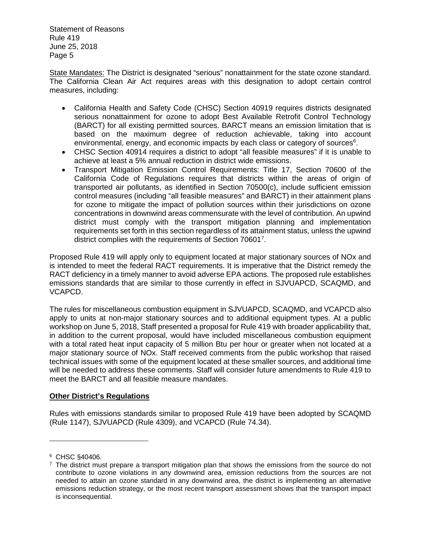State Mandates: The District is designated "serious" nonattainment for the state ozone standard. The California Clean Air Act requires areas with this designation to adopt certain control measures, including:

- California Health and Safety Code (CHSC) Section 40919 requires districts designated serious nonattainment for ozone to adopt Best Available Retrofit Control Technology (BARCT) for all existing permitted sources. BARCT means an emission limitation that is based on the maximum degree of reduction achievable, taking into account environmental, energy, and economic impacts by each class or category of sources $6$ .
- CHSC Section 40914 requires a district to adopt "all feasible measures" if it is unable to achieve at least a 5% annual reduction in district wide emissions.
- Transport Mitigation Emission Control Requirements: Title 17, Section 70600 of the California Code of Regulations requires that districts within the areas of origin of transported air pollutants, as identified in Section 70500(c), include sufficient emission control measures (including "all feasible measures" and BARCT) in their attainment plans for ozone to mitigate the impact of pollution sources within their jurisdictions on ozone concentrations in downwind areas commensurate with the level of contribution. An upwind district must comply with the transport mitigation planning and implementation requirements set forth in this section regardless of its attainment status, unless the upwind district complies with the requirements of Section 706017.

Proposed Rule 419 will apply only to equipment located at major stationary sources of NOx and is intended to meet the federal RACT requirements. It is imperative that the District remedy the RACT deficiency in a timely manner to avoid adverse EPA actions. The proposed rule establishes emissions standards that are similar to those currently in effect in SJVUAPCD, SCAQMD, and VCAPCD.

The rules for miscellaneous combustion equipment in SJVUAPCD, SCAQMD, and VCAPCD also apply to units at non-major stationary sources and to additional equipment types. At a public workshop on June 5, 2018, Staff presented a proposal for Rule 419 with broader applicability that, in addition to the current proposal, would have included miscellaneous combustion equipment with a total rated heat input capacity of 5 million Btu per hour or greater when not located at a major stationary source of NOx. Staff received comments from the public workshop that raised technical issues with some of the equipment located at these smaller sources, and additional time will be needed to address these comments. Staff will consider future amendments to Rule 419 to meet the BARCT and all feasible measure mandates.

## **Other District's Regulations**

Rules with emissions standards similar to proposed Rule 419 have been adopted by SCAQMD (Rule 1147), SJVUAPCD (Rule 4309), and VCAPCD (Rule 74.34).

<sup>6</sup> CHSC §40406.

 $<sup>7</sup>$  The district must prepare a transport mitigation plan that shows the emissions from the source do not</sup> contribute to ozone violations in any downwind area, emission reductions from the sources are not needed to attain an ozone standard in any downwind area, the district is implementing an alternative emissions reduction strategy, or the most recent transport assessment shows that the transport impact is inconsequential.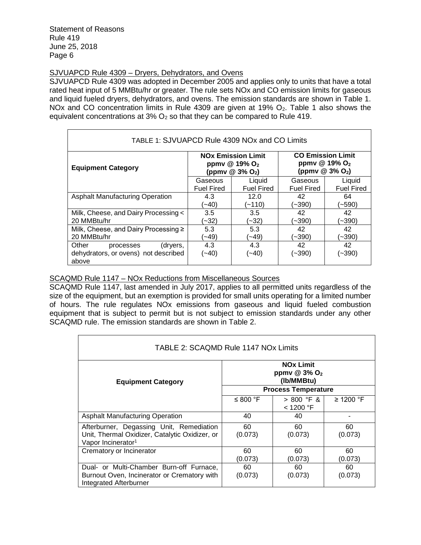# SJVUAPCD Rule 4309 – Dryers, Dehydrators, and Ovens

SJVUAPCD Rule 4309 was adopted in December 2005 and applies only to units that have a total rated heat input of 5 MMBtu/hr or greater. The rule sets NOx and CO emission limits for gaseous and liquid fueled dryers, dehydrators, and ovens. The emission standards are shown in Table 1. NOx and CO concentration limits in Rule 4309 are given at 19% O<sub>2</sub>. Table 1 also shows the equivalent concentrations at  $3\%$  O<sub>2</sub> so that they can be compared to Rule 419.

| TABLE 1: SJVUAPCD Rule 4309 NOx and CO Limits                                   |                   |                                                                                                  |                                                                                        |                   |  |
|---------------------------------------------------------------------------------|-------------------|--------------------------------------------------------------------------------------------------|----------------------------------------------------------------------------------------|-------------------|--|
| <b>Equipment Category</b>                                                       |                   | <b>NO<sub>x</sub></b> Emission Limit<br>ppmv @ 19% O <sub>2</sub><br>(ppmv @ 3% O <sub>2</sub> ) | <b>CO Emission Limit</b><br>ppmv @ 19% O <sub>2</sub><br>(ppmv $@3\%$ O <sub>2</sub> ) |                   |  |
|                                                                                 | Gaseous           | Liquid                                                                                           | Gaseous                                                                                | Liquid            |  |
|                                                                                 | <b>Fuel Fired</b> | <b>Fuel Fired</b>                                                                                | <b>Fuel Fired</b>                                                                      | <b>Fuel Fired</b> |  |
| <b>Asphalt Manufacturing Operation</b>                                          | 4.3               | 12.0                                                                                             | 42                                                                                     | 64                |  |
|                                                                                 | $(-40)$           | (~110)                                                                                           | (~390)                                                                                 | (~590)            |  |
| Milk, Cheese, and Dairy Processing <                                            | 3.5               | 3.5                                                                                              | 42                                                                                     | 42                |  |
| 20 MMBtu/hr                                                                     | $(-32)$           | (~32)                                                                                            | (~390)                                                                                 | (~390)            |  |
| Milk, Cheese, and Dairy Processing ≥                                            | 5.3               | 5.3                                                                                              | 42                                                                                     | 42                |  |
| 20 MMBtu/hr                                                                     | $-49$             | $-49$                                                                                            | (~390)                                                                                 | (~390)            |  |
| Other<br>(dryers,<br>processes<br>dehydrators, or ovens) not described<br>above | 4.3<br>(~40)      | 4.3<br>$(-40)$                                                                                   | 42<br>(~390)                                                                           | 42<br>(~390)      |  |

## SCAQMD Rule 1147 – NOx Reductions from Miscellaneous Sources

SCAQMD Rule 1147, last amended in July 2017, applies to all permitted units regardless of the size of the equipment, but an exemption is provided for small units operating for a limited number of hours. The rule regulates NOx emissions from gaseous and liquid fueled combustion equipment that is subject to permit but is not subject to emission standards under any other SCAQMD rule. The emission standards are shown in Table 2.

| TABLE 2: SCAQMD Rule 1147 NOx Limits           |                                                                         |            |                |  |  |
|------------------------------------------------|-------------------------------------------------------------------------|------------|----------------|--|--|
| <b>Equipment Category</b>                      | <b>NO<sub>x</sub></b> Limit<br>ppmv $@3\%$ O <sub>2</sub><br>(Ib/MMBtu) |            |                |  |  |
|                                                | <b>Process Temperature</b>                                              |            |                |  |  |
|                                                | ≤ 800 °F                                                                | > 800 °F & | $\geq$ 1200 °F |  |  |
|                                                |                                                                         | < 1200 °F  |                |  |  |
| <b>Asphalt Manufacturing Operation</b>         | 40                                                                      | 40         |                |  |  |
| Afterburner, Degassing Unit, Remediation       | 60                                                                      | 60         | 60             |  |  |
| Unit, Thermal Oxidizer, Catalytic Oxidizer, or | (0.073)                                                                 | (0.073)    | (0.073)        |  |  |
| Vapor Incinerator <sup>1</sup>                 |                                                                         |            |                |  |  |
| Crematory or Incinerator                       | 60                                                                      | 60         | 60             |  |  |
|                                                | (0.073)                                                                 | (0.073)    | (0.073)        |  |  |
| Dual- or Multi-Chamber Burn-off Furnace,       | 60                                                                      | 60         | 60             |  |  |
| Burnout Oven, Incinerator or Crematory with    | (0.073)                                                                 | (0.073)    | (0.073)        |  |  |
| <b>Integrated Afterburner</b>                  |                                                                         |            |                |  |  |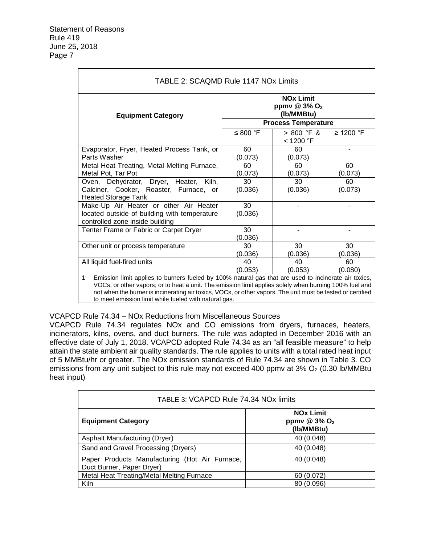$\Gamma$ 

| <b>Equipment Category</b>                                                                                                 | <b>NO<sub>x</sub></b> Limit<br>ppmv $@3\%$ O <sub>2</sub><br>(Ib/MMBtu) |                                                         |                |  |
|---------------------------------------------------------------------------------------------------------------------------|-------------------------------------------------------------------------|---------------------------------------------------------|----------------|--|
|                                                                                                                           | ≤ 800 °F                                                                | <b>Process Temperature</b><br>$> 800$ °F &<br>< 1200 °F | $\geq$ 1200 °F |  |
| Evaporator, Fryer, Heated Process Tank, or<br>Parts Washer                                                                | 60<br>(0.073)                                                           | 60<br>(0.073)                                           |                |  |
| Metal Heat Treating, Metal Melting Furnace,<br>Metal Pot, Tar Pot                                                         | 60<br>(0.073)                                                           | 60<br>(0.073)                                           | 60<br>(0.073)  |  |
| Oven, Dehydrator, Dryer, Heater, Kiln,<br>Calciner, Cooker, Roaster, Furnace, or<br><b>Heated Storage Tank</b>            | 30<br>(0.036)                                                           | 30<br>(0.036)                                           | 60<br>(0.073)  |  |
| Make-Up Air Heater or other Air Heater<br>located outside of building with temperature<br>controlled zone inside building | 30<br>(0.036)                                                           |                                                         |                |  |
| Tenter Frame or Fabric or Carpet Dryer                                                                                    | 30<br>(0.036)                                                           |                                                         |                |  |
| Other unit or process temperature                                                                                         | 30<br>(0.036)                                                           | 30<br>(0.036)                                           | 30<br>(0.036)  |  |
| All liquid fuel-fired units                                                                                               | 40<br>(0.053)                                                           | 40<br>(0.053)                                           | 60<br>(0.080)  |  |

VCAPCD Rule 74.34 – NOx Reductions from Miscellaneous Sources

VCAPCD Rule 74.34 regulates NOx and CO emissions from dryers, furnaces, heaters, incinerators, kilns, ovens, and duct burners. The rule was adopted in December 2016 with an effective date of July 1, 2018. VCAPCD adopted Rule 74.34 as an "all feasible measure" to help attain the state ambient air quality standards. The rule applies to units with a total rated heat input of 5 MMBtu/hr or greater. The NOx emission standards of Rule 74.34 are shown in Table 3. CO emissions from any unit subject to this rule may not exceed 400 ppmv at  $3\%$  O<sub>2</sub> (0.30 lb/MMBtu heat input)

| TABLE 3: VCAPCD Rule 74.34 NOx limits                                       |                                                              |  |  |
|-----------------------------------------------------------------------------|--------------------------------------------------------------|--|--|
| <b>Equipment Category</b>                                                   | <b>NOx Limit</b><br>ppmv $@3\%$ O <sub>2</sub><br>(Ib/MMBtu) |  |  |
| Asphalt Manufacturing (Dryer)                                               | 40 (0.048)                                                   |  |  |
| Sand and Gravel Processing (Dryers)                                         | 40 (0.048)                                                   |  |  |
| Paper Products Manufacturing (Hot Air Furnace,<br>Duct Burner, Paper Dryer) | 40 (0.048)                                                   |  |  |
| Metal Heat Treating/Metal Melting Furnace                                   | 60 (0.072)                                                   |  |  |
| Kiln                                                                        | 80 (0.096)                                                   |  |  |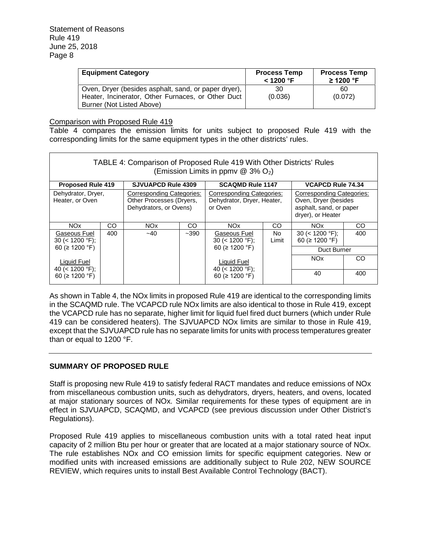| <b>Equipment Category</b>                            | <b>Process Temp</b><br>< 1200 °F | <b>Process Temp</b><br>$\geq$ 1200 °F |
|------------------------------------------------------|----------------------------------|---------------------------------------|
| Oven, Dryer (besides asphalt, sand, or paper dryer), | 30                               | 60                                    |
| Heater, Incinerator, Other Furnaces, or Other Duct   | (0.036)                          | (0.072)                               |
| Burner (Not Listed Above)                            |                                  |                                       |

Comparison with Proposed Rule 419

Table 4 compares the emission limits for units subject to proposed Rule 419 with the corresponding limits for the same equipment types in the other districts' rules.

| TABLE 4: Comparison of Proposed Rule 419 With Other Districts' Rules<br>(Emission Limits in ppmv $@$ 3% O <sub>2</sub> ) |     |                           |                                                                                                                                                       |                                    |              |                                                                                                   |     |
|--------------------------------------------------------------------------------------------------------------------------|-----|---------------------------|-------------------------------------------------------------------------------------------------------------------------------------------------------|------------------------------------|--------------|---------------------------------------------------------------------------------------------------|-----|
| <b>Proposed Rule 419</b>                                                                                                 |     | <b>SJVUAPCD Rule 4309</b> |                                                                                                                                                       | <b>SCAQMD Rule 1147</b>            |              | <b>VCAPCD Rule 74.34</b>                                                                          |     |
| Dehydrator, Dryer,<br>Heater, or Oven                                                                                    |     |                           | Corresponding Categories:<br>Corresponding Categories:<br>Other Processes (Dryers,<br>Dehydrator, Dryer, Heater,<br>Dehydrators, or Ovens)<br>or Oven |                                    |              | Corresponding Categories:<br>Oven, Dryer (besides<br>asphalt, sand, or paper<br>dryer), or Heater |     |
| NO <sub>x</sub>                                                                                                          | CO. | NO <sub>x</sub>           | CO                                                                                                                                                    | NO <sub>x</sub>                    | CO           | NO <sub>x</sub>                                                                                   | CO. |
| Gaseous Fuel<br>$30 \leq 1200$ °F);                                                                                      | 400 | $-40$                     | $-390$                                                                                                                                                | Gaseous Fuel<br>30 ( $<$ 1200 °F); | No.<br>Limit | $30 \leq 1200$ °F);<br>60 ( $\geq$ 1200 °F)                                                       | 400 |
| 60 ( $\geq$ 1200 °F)                                                                                                     |     |                           |                                                                                                                                                       | 60 ( $\geq$ 1200 °F)               |              | Duct Burner                                                                                       |     |
| Liquid Fuel<br>40 ( $<$ 1200 °F);                                                                                        |     |                           |                                                                                                                                                       | Liquid Fuel<br>40 (< 1200 °F);     |              | NO <sub>x</sub>                                                                                   | CO. |
| 60 ( $\geq$ 1200 °F)                                                                                                     |     |                           |                                                                                                                                                       | 60 ( $\geq$ 1200 °F)               |              | 40                                                                                                | 400 |

As shown in Table 4, the NOx limits in proposed Rule 419 are identical to the corresponding limits in the SCAQMD rule. The VCAPCD rule NOx limits are also identical to those in Rule 419, except the VCAPCD rule has no separate, higher limit for liquid fuel fired duct burners (which under Rule 419 can be considered heaters). The SJVUAPCD NOx limits are similar to those in Rule 419, except that the SJVUAPCD rule has no separate limits for units with process temperatures greater than or equal to 1200 °F.

## **SUMMARY OF PROPOSED RULE**

Staff is proposing new Rule 419 to satisfy federal RACT mandates and reduce emissions of NOx from miscellaneous combustion units, such as dehydrators, dryers, heaters, and ovens, located at major stationary sources of NOx. Similar requirements for these types of equipment are in effect in SJVUAPCD, SCAQMD, and VCAPCD (see previous discussion under Other District's Regulations).

Proposed Rule 419 applies to miscellaneous combustion units with a total rated heat input capacity of 2 million Btu per hour or greater that are located at a major stationary source of NOx. The rule establishes NOx and CO emission limits for specific equipment categories. New or modified units with increased emissions are additionally subject to Rule 202, NEW SOURCE REVIEW, which requires units to install Best Available Control Technology (BACT).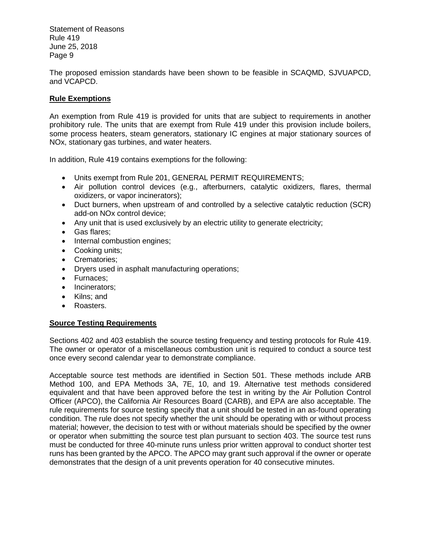The proposed emission standards have been shown to be feasible in SCAQMD, SJVUAPCD, and VCAPCD.

# **Rule Exemptions**

An exemption from Rule 419 is provided for units that are subject to requirements in another prohibitory rule. The units that are exempt from Rule 419 under this provision include boilers, some process heaters, steam generators, stationary IC engines at major stationary sources of NOx, stationary gas turbines, and water heaters.

In addition, Rule 419 contains exemptions for the following:

- Units exempt from Rule 201, GENERAL PERMIT REQUIREMENTS;
- Air pollution control devices (e.g., afterburners, catalytic oxidizers, flares, thermal oxidizers, or vapor incinerators);
- Duct burners, when upstream of and controlled by a selective catalytic reduction (SCR) add-on NOx control device;
- Any unit that is used exclusively by an electric utility to generate electricity;
- Gas flares;
- Internal combustion engines;
- Cooking units;
- Crematories:
- Dryers used in asphalt manufacturing operations;
- Furnaces:
- Incinerators;
- Kilns; and
- Roasters.

## **Source Testing Requirements**

Sections 402 and 403 establish the source testing frequency and testing protocols for Rule 419. The owner or operator of a miscellaneous combustion unit is required to conduct a source test once every second calendar year to demonstrate compliance.

Acceptable source test methods are identified in Section 501. These methods include ARB Method 100, and EPA Methods 3A, 7E, 10, and 19. Alternative test methods considered equivalent and that have been approved before the test in writing by the Air Pollution Control Officer (APCO), the California Air Resources Board (CARB), and EPA are also acceptable. The rule requirements for source testing specify that a unit should be tested in an as-found operating condition. The rule does not specify whether the unit should be operating with or without process material; however, the decision to test with or without materials should be specified by the owner or operator when submitting the source test plan pursuant to section 403. The source test runs must be conducted for three 40-minute runs unless prior written approval to conduct shorter test runs has been granted by the APCO. The APCO may grant such approval if the owner or operate demonstrates that the design of a unit prevents operation for 40 consecutive minutes.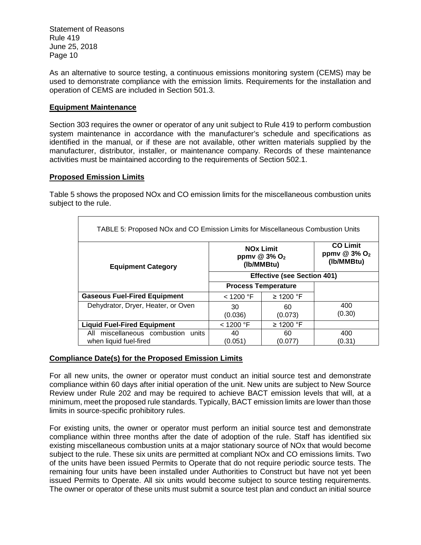As an alternative to source testing, a continuous emissions monitoring system (CEMS) may be used to demonstrate compliance with the emission limits. Requirements for the installation and operation of CEMS are included in Section 501.3.

#### **Equipment Maintenance**

Section 303 requires the owner or operator of any unit subject to Rule 419 to perform combustion system maintenance in accordance with the manufacturer's schedule and specifications as identified in the manual, or if these are not available, other written materials supplied by the manufacturer, distributor, installer, or maintenance company. Records of these maintenance activities must be maintained according to the requirements of Section 502.1.

#### **Proposed Emission Limits**

Table 5 shows the proposed NOx and CO emission limits for the miscellaneous combustion units subject to the rule.

| TABLE 5: Proposed NOx and CO Emission Limits for Miscellaneous Combustion Units |                                                                                                                                             |                |                                                           |  |
|---------------------------------------------------------------------------------|---------------------------------------------------------------------------------------------------------------------------------------------|----------------|-----------------------------------------------------------|--|
| <b>Equipment Category</b>                                                       | <b>NO<sub>x</sub></b> Limit<br>ppmv $@3\%$ O <sub>2</sub><br>(Ib/MMBtu)<br><b>Effective (see Section 401)</b><br><b>Process Temperature</b> |                | <b>CO Limit</b><br>ppmv @ 3% O <sub>2</sub><br>(Ib/MMBtu) |  |
|                                                                                 |                                                                                                                                             |                |                                                           |  |
|                                                                                 |                                                                                                                                             |                |                                                           |  |
| <b>Gaseous Fuel-Fired Equipment</b>                                             | $<$ 1200 °F                                                                                                                                 | ≥ 1200 °F      |                                                           |  |
| Dehydrator, Dryer, Heater, or Oven                                              | 30<br>(0.036)                                                                                                                               | 60<br>(0.073)  | 400<br>(0.30)                                             |  |
| <b>Liquid Fuel-Fired Equipment</b>                                              | $<$ 1200 °F                                                                                                                                 | $\geq$ 1200 °F |                                                           |  |
| miscellaneous combustion units<br>All                                           | 40                                                                                                                                          | 60             | 400                                                       |  |
| when liquid fuel-fired                                                          | (0.051)                                                                                                                                     | (0.077         | (0.31)                                                    |  |

#### **Compliance Date(s) for the Proposed Emission Limits**

For all new units, the owner or operator must conduct an initial source test and demonstrate compliance within 60 days after initial operation of the unit. New units are subject to New Source Review under Rule 202 and may be required to achieve BACT emission levels that will, at a minimum, meet the proposed rule standards. Typically, BACT emission limits are lower than those limits in source-specific prohibitory rules.

For existing units, the owner or operator must perform an initial source test and demonstrate compliance within three months after the date of adoption of the rule. Staff has identified six existing miscellaneous combustion units at a major stationary source of NOx that would become subject to the rule. These six units are permitted at compliant NOx and CO emissions limits. Two of the units have been issued Permits to Operate that do not require periodic source tests. The remaining four units have been installed under Authorities to Construct but have not yet been issued Permits to Operate. All six units would become subject to source testing requirements. The owner or operator of these units must submit a source test plan and conduct an initial source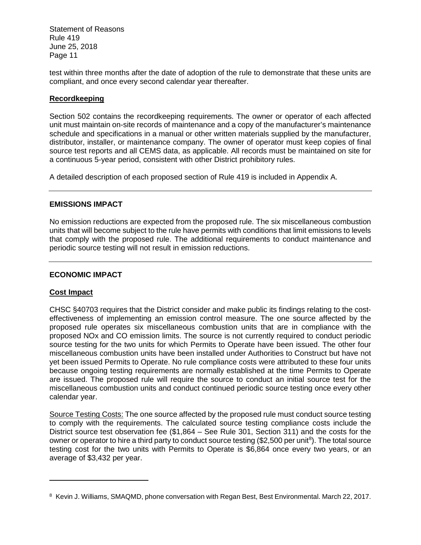test within three months after the date of adoption of the rule to demonstrate that these units are compliant, and once every second calendar year thereafter.

# **Recordkeeping**

Section 502 contains the recordkeeping requirements. The owner or operator of each affected unit must maintain on-site records of maintenance and a copy of the manufacturer's maintenance schedule and specifications in a manual or other written materials supplied by the manufacturer, distributor, installer, or maintenance company. The owner of operator must keep copies of final source test reports and all CEMS data, as applicable. All records must be maintained on site for a continuous 5-year period, consistent with other District prohibitory rules.

A detailed description of each proposed section of Rule 419 is included in Appendix A.

## **EMISSIONS IMPACT**

No emission reductions are expected from the proposed rule. The six miscellaneous combustion units that will become subject to the rule have permits with conditions that limit emissions to levels that comply with the proposed rule. The additional requirements to conduct maintenance and periodic source testing will not result in emission reductions.

## **ECONOMIC IMPACT**

## **Cost Impact**

CHSC §40703 requires that the District consider and make public its findings relating to the costeffectiveness of implementing an emission control measure. The one source affected by the proposed rule operates six miscellaneous combustion units that are in compliance with the proposed NOx and CO emission limits. The source is not currently required to conduct periodic source testing for the two units for which Permits to Operate have been issued. The other four miscellaneous combustion units have been installed under Authorities to Construct but have not yet been issued Permits to Operate. No rule compliance costs were attributed to these four units because ongoing testing requirements are normally established at the time Permits to Operate are issued. The proposed rule will require the source to conduct an initial source test for the miscellaneous combustion units and conduct continued periodic source testing once every other calendar year.

Source Testing Costs: The one source affected by the proposed rule must conduct source testing to comply with the requirements. The calculated source testing compliance costs include the District source test observation fee (\$1,864 – See Rule 301, Section 311) and the costs for the owner or operator to hire a third party to conduct source testing (\$2,500 per unit<sup>8</sup>). The total source testing cost for the two units with Permits to Operate is \$6,864 once every two years, or an average of \$3,432 per year.

<sup>8</sup> Kevin J. Williams, SMAQMD, phone conversation with Regan Best, Best Environmental. March 22, 2017.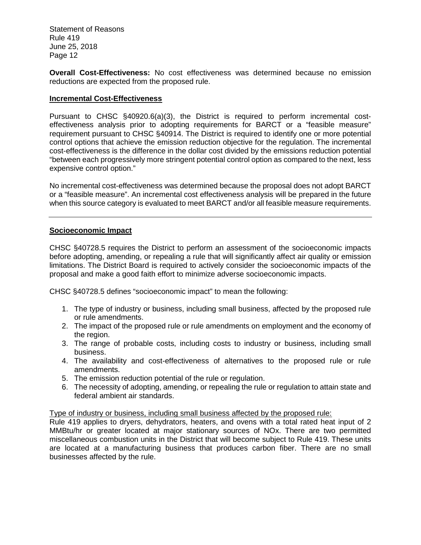**Overall Cost-Effectiveness:** No cost effectiveness was determined because no emission reductions are expected from the proposed rule.

#### **Incremental Cost-Effectiveness**

Pursuant to CHSC §40920.6(a)(3), the District is required to perform incremental costeffectiveness analysis prior to adopting requirements for BARCT or a "feasible measure" requirement pursuant to CHSC §40914. The District is required to identify one or more potential control options that achieve the emission reduction objective for the regulation. The incremental cost-effectiveness is the difference in the dollar cost divided by the emissions reduction potential "between each progressively more stringent potential control option as compared to the next, less expensive control option."

No incremental cost-effectiveness was determined because the proposal does not adopt BARCT or a "feasible measure". An incremental cost effectiveness analysis will be prepared in the future when this source category is evaluated to meet BARCT and/or all feasible measure requirements.

#### **Socioeconomic Impact**

CHSC §40728.5 requires the District to perform an assessment of the socioeconomic impacts before adopting, amending, or repealing a rule that will significantly affect air quality or emission limitations. The District Board is required to actively consider the socioeconomic impacts of the proposal and make a good faith effort to minimize adverse socioeconomic impacts.

CHSC §40728.5 defines "socioeconomic impact" to mean the following:

- 1. The type of industry or business, including small business, affected by the proposed rule or rule amendments.
- 2. The impact of the proposed rule or rule amendments on employment and the economy of the region.
- 3. The range of probable costs, including costs to industry or business, including small business.
- 4. The availability and cost-effectiveness of alternatives to the proposed rule or rule amendments.
- 5. The emission reduction potential of the rule or regulation.
- 6. The necessity of adopting, amending, or repealing the rule or regulation to attain state and federal ambient air standards.

#### Type of industry or business, including small business affected by the proposed rule:

Rule 419 applies to dryers, dehydrators, heaters, and ovens with a total rated heat input of 2 MMBtu/hr or greater located at major stationary sources of NOx. There are two permitted miscellaneous combustion units in the District that will become subject to Rule 419. These units are located at a manufacturing business that produces carbon fiber. There are no small businesses affected by the rule.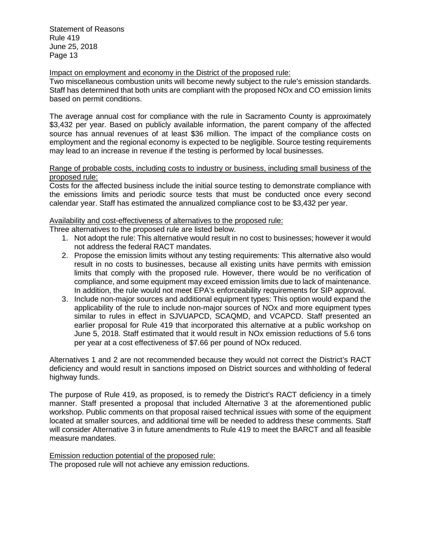Impact on employment and economy in the District of the proposed rule:

Two miscellaneous combustion units will become newly subject to the rule's emission standards. Staff has determined that both units are compliant with the proposed NOx and CO emission limits based on permit conditions.

The average annual cost for compliance with the rule in Sacramento County is approximately \$3,432 per year. Based on publicly available information, the parent company of the affected source has annual revenues of at least \$36 million. The impact of the compliance costs on employment and the regional economy is expected to be negligible. Source testing requirements may lead to an increase in revenue if the testing is performed by local businesses.

#### Range of probable costs, including costs to industry or business, including small business of the proposed rule:

Costs for the affected business include the initial source testing to demonstrate compliance with the emissions limits and periodic source tests that must be conducted once every second calendar year. Staff has estimated the annualized compliance cost to be \$3,432 per year.

# Availability and cost-effectiveness of alternatives to the proposed rule:

Three alternatives to the proposed rule are listed below.

- 1. Not adopt the rule: This alternative would result in no cost to businesses; however it would not address the federal RACT mandates.
- 2. Propose the emission limits without any testing requirements: This alternative also would result in no costs to businesses, because all existing units have permits with emission limits that comply with the proposed rule. However, there would be no verification of compliance, and some equipment may exceed emission limits due to lack of maintenance. In addition, the rule would not meet EPA's enforceability requirements for SIP approval.
- 3. Include non-major sources and additional equipment types: This option would expand the applicability of the rule to include non-major sources of NOx and more equipment types similar to rules in effect in SJVUAPCD, SCAQMD, and VCAPCD. Staff presented an earlier proposal for Rule 419 that incorporated this alternative at a public workshop on June 5, 2018. Staff estimated that it would result in NOx emission reductions of 5.6 tons per year at a cost effectiveness of \$7.66 per pound of NOx reduced.

Alternatives 1 and 2 are not recommended because they would not correct the District's RACT deficiency and would result in sanctions imposed on District sources and withholding of federal highway funds.

The purpose of Rule 419, as proposed, is to remedy the District's RACT deficiency in a timely manner. Staff presented a proposal that included Alternative 3 at the aforementioned public workshop. Public comments on that proposal raised technical issues with some of the equipment located at smaller sources, and additional time will be needed to address these comments. Staff will consider Alternative 3 in future amendments to Rule 419 to meet the BARCT and all feasible measure mandates.

Emission reduction potential of the proposed rule: The proposed rule will not achieve any emission reductions.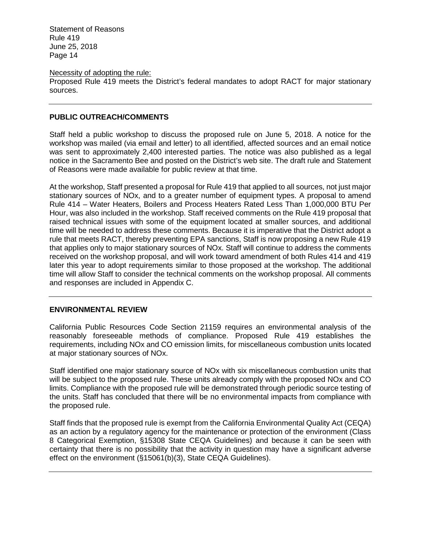#### Necessity of adopting the rule:

Proposed Rule 419 meets the District's federal mandates to adopt RACT for major stationary sources.

#### **PUBLIC OUTREACH/COMMENTS**

Staff held a public workshop to discuss the proposed rule on June 5, 2018. A notice for the workshop was mailed (via email and letter) to all identified, affected sources and an email notice was sent to approximately 2,400 interested parties. The notice was also published as a legal notice in the Sacramento Bee and posted on the District's web site. The draft rule and Statement of Reasons were made available for public review at that time.

At the workshop, Staff presented a proposal for Rule 419 that applied to all sources, not just major stationary sources of NOx, and to a greater number of equipment types. A proposal to amend Rule 414 – Water Heaters, Boilers and Process Heaters Rated Less Than 1,000,000 BTU Per Hour, was also included in the workshop. Staff received comments on the Rule 419 proposal that raised technical issues with some of the equipment located at smaller sources, and additional time will be needed to address these comments. Because it is imperative that the District adopt a rule that meets RACT, thereby preventing EPA sanctions, Staff is now proposing a new Rule 419 that applies only to major stationary sources of NOx. Staff will continue to address the comments received on the workshop proposal, and will work toward amendment of both Rules 414 and 419 later this year to adopt requirements similar to those proposed at the workshop. The additional time will allow Staff to consider the technical comments on the workshop proposal. All comments and responses are included in Appendix C.

#### **ENVIRONMENTAL REVIEW**

California Public Resources Code Section 21159 requires an environmental analysis of the reasonably foreseeable methods of compliance. Proposed Rule 419 establishes the requirements, including NOx and CO emission limits, for miscellaneous combustion units located at major stationary sources of NOx.

Staff identified one major stationary source of NOx with six miscellaneous combustion units that will be subject to the proposed rule. These units already comply with the proposed NOx and CO limits. Compliance with the proposed rule will be demonstrated through periodic source testing of the units. Staff has concluded that there will be no environmental impacts from compliance with the proposed rule.

Staff finds that the proposed rule is exempt from the California Environmental Quality Act (CEQA) as an action by a regulatory agency for the maintenance or protection of the environment (Class 8 Categorical Exemption, §15308 State CEQA Guidelines) and because it can be seen with certainty that there is no possibility that the activity in question may have a significant adverse effect on the environment (§15061(b)(3), State CEQA Guidelines).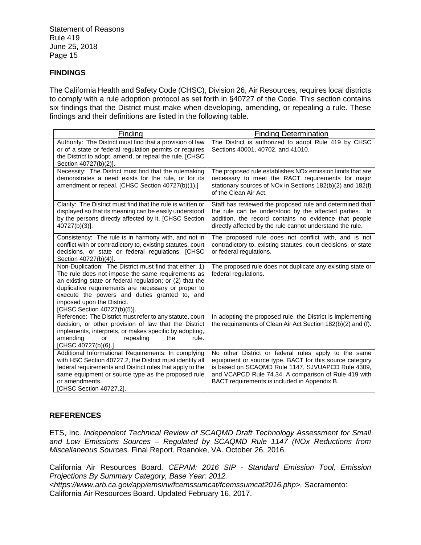# **FINDINGS**

The California Health and Safety Code (CHSC), Division 26, Air Resources, requires local districts to comply with a rule adoption protocol as set forth in §40727 of the Code. This section contains six findings that the District must make when developing, amending, or repealing a rule. These findings and their definitions are listed in the following table.

| Finding                                                                                                                                                                                                                                                                                                                                       | <b>Finding Determination</b>                                                                                                                                                                                                                                                 |
|-----------------------------------------------------------------------------------------------------------------------------------------------------------------------------------------------------------------------------------------------------------------------------------------------------------------------------------------------|------------------------------------------------------------------------------------------------------------------------------------------------------------------------------------------------------------------------------------------------------------------------------|
| Authority: The District must find that a provision of law<br>or of a state or federal regulation permits or requires<br>the District to adopt, amend, or repeal the rule. [CHSC<br>Section 40727(b)(2)].                                                                                                                                      | The District is authorized to adopt Rule 419 by CHSC<br>Sections 40001, 40702, and 41010.                                                                                                                                                                                    |
| Necessity: The District must find that the rulemaking<br>demonstrates a need exists for the rule, or for its<br>amendment or repeal. [CHSC Section 40727(b)(1).]                                                                                                                                                                              | The proposed rule establishes NOx emission limits that are<br>necessary to meet the RACT requirements for major<br>stationary sources of NOx in Sections 182(b)(2) and 182(f)<br>of the Clean Air Act.                                                                       |
| Clarity: The District must find that the rule is written or<br>displayed so that its meaning can be easily understood<br>by the persons directly affected by it. [CHSC Section<br>40727(b)(3)].                                                                                                                                               | Staff has reviewed the proposed rule and determined that<br>the rule can be understood by the affected parties. In<br>addition, the record contains no evidence that people<br>directly affected by the rule cannot understand the rule.                                     |
| Consistency: The rule is in harmony with, and not in<br>conflict with or contradictory to, existing statutes, court<br>decisions, or state or federal regulations. [CHSC<br>Section 40727(b)(4)].                                                                                                                                             | The proposed rule does not conflict with, and is not<br>contradictory to, existing statutes, court decisions, or state<br>or federal regulations.                                                                                                                            |
| Non-Duplication: The District must find that either: 1)<br>The rule does not impose the same requirements as<br>an existing state or federal regulation; or (2) that the<br>duplicative requirements are necessary or proper to<br>execute the powers and duties granted to, and<br>imposed upon the District.<br>[CHSC Section 40727(b)(5)]. | The proposed rule does not duplicate any existing state or<br>federal regulations.                                                                                                                                                                                           |
| Reference: The District must refer to any statute, court<br>decision, or other provision of law that the District<br>implements, interprets, or makes specific by adopting,<br>amending<br>repealing<br>the<br>rule.<br>or<br>[CHSC 40727(b)(6).]                                                                                             | In adopting the proposed rule, the District is implementing<br>the requirements of Clean Air Act Section 182(b)(2) and (f).                                                                                                                                                  |
| Additional Informational Requirements: In complying<br>with HSC Section 40727.2, the District must identify all<br>federal requirements and District rules that apply to the<br>same equipment or source type as the proposed rule<br>or amendments.<br>[CHSC Section 40727.2].                                                               | No other District or federal rules apply to the same<br>equipment or source type. BACT for this source category<br>is based on SCAQMD Rule 1147, SJVUAPCD Rule 4309,<br>and VCAPCD Rule 74.34. A comparison of Rule 419 with<br>BACT requirements is included in Appendix B. |

## **REFERENCES**

ETS, Inc. *Independent Technical Review of SCAQMD Draft Technology Assessment for Small and Low Emissions Sources – Regulated by SCAQMD Rule 1147 (NOx Reductions from Miscellaneous Sources.* Final Report. Roanoke, VA. October 26, 2016.

California Air Resources Board*. CEPAM: 2016 SIP - Standard Emission Tool, Emission Projections By Summary Category, Base Year: 2012.*

*<https://www.arb.ca.gov/app/emsinv/fcemssumcat/fcemssumcat2016.php>.* Sacramento: California Air Resources Board. Updated February 16, 2017.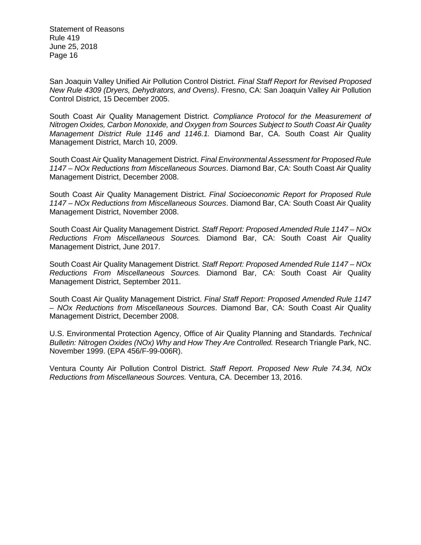San Joaquin Valley Unified Air Pollution Control District. *Final Staff Report for Revised Proposed New Rule 4309 (Dryers, Dehydrators, and Ovens)*. Fresno, CA: San Joaquin Valley Air Pollution Control District, 15 December 2005.

South Coast Air Quality Management District. *Compliance Protocol for the Measurement of Nitrogen Oxides, Carbon Monoxide, and Oxygen from Sources Subject to South Coast Air Quality Management District Rule 1146 and 1146.1.* Diamond Bar, CA. South Coast Air Quality Management District, March 10, 2009.

South Coast Air Quality Management District. *Final Environmental Assessment for Proposed Rule 1147 – NOx Reductions from Miscellaneous Sources*. Diamond Bar, CA: South Coast Air Quality Management District, December 2008.

South Coast Air Quality Management District. *Final Socioeconomic Report for Proposed Rule 1147 – NOx Reductions from Miscellaneous Sources*. Diamond Bar, CA: South Coast Air Quality Management District, November 2008.

South Coast Air Quality Management District. *Staff Report: Proposed Amended Rule 1147 – NOx Reductions From Miscellaneous Sources.* Diamond Bar, CA: South Coast Air Quality Management District, June 2017.

South Coast Air Quality Management District. *Staff Report: Proposed Amended Rule 1147 – NOx Reductions From Miscellaneous Sources.* Diamond Bar, CA: South Coast Air Quality Management District, September 2011.

South Coast Air Quality Management District. *Final Staff Report: Proposed Amended Rule 1147 – NOx Reductions from Miscellaneous Sources*. Diamond Bar, CA: South Coast Air Quality Management District, December 2008.

U.S. Environmental Protection Agency, Office of Air Quality Planning and Standards. *Technical Bulletin: Nitrogen Oxides (NOx) Why and How They Are Controlled.* Research Triangle Park, NC. November 1999. (EPA 456/F-99-006R).

Ventura County Air Pollution Control District. *Staff Report. Proposed New Rule 74.34, NOx Reductions from Miscellaneous Sources.* Ventura, CA. December 13, 2016.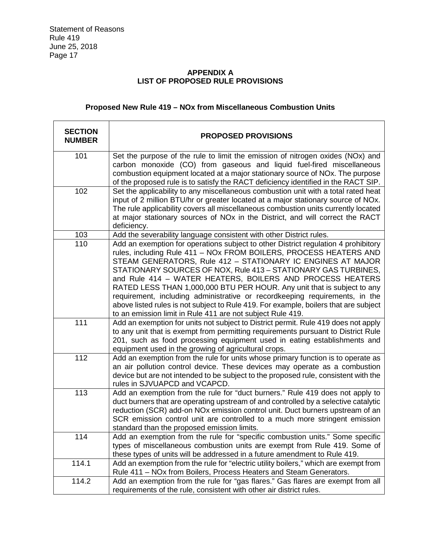# **APPENDIX A LIST OF PROPOSED RULE PROVISIONS**

# **Proposed New Rule 419 – NOx from Miscellaneous Combustion Units**

| <b>SECTION</b><br><b>NUMBER</b> | <b>PROPOSED PROVISIONS</b>                                                                                                                                                                                                                                                                                                                                                                                                                                                                                                                                                                                                                                            |
|---------------------------------|-----------------------------------------------------------------------------------------------------------------------------------------------------------------------------------------------------------------------------------------------------------------------------------------------------------------------------------------------------------------------------------------------------------------------------------------------------------------------------------------------------------------------------------------------------------------------------------------------------------------------------------------------------------------------|
| 101                             | Set the purpose of the rule to limit the emission of nitrogen oxides (NOx) and<br>carbon monoxide (CO) from gaseous and liquid fuel-fired miscellaneous<br>combustion equipment located at a major stationary source of NOx. The purpose<br>of the proposed rule is to satisfy the RACT deficiency identified in the RACT SIP.                                                                                                                                                                                                                                                                                                                                        |
| 102                             | Set the applicability to any miscellaneous combustion unit with a total rated heat<br>input of 2 million BTU/hr or greater located at a major stationary source of NOx.<br>The rule applicability covers all miscellaneous combustion units currently located<br>at major stationary sources of NOx in the District, and will correct the RACT<br>deficiency.                                                                                                                                                                                                                                                                                                         |
| 103                             | Add the severability language consistent with other District rules.                                                                                                                                                                                                                                                                                                                                                                                                                                                                                                                                                                                                   |
| 110                             | Add an exemption for operations subject to other District regulation 4 prohibitory<br>rules, including Rule 411 - NOx FROM BOILERS, PROCESS HEATERS AND<br>STEAM GENERATORS, Rule 412 - STATIONARY IC ENGINES AT MAJOR<br>STATIONARY SOURCES OF NOX, Rule 413 - STATIONARY GAS TURBINES,<br>and Rule 414 - WATER HEATERS, BOILERS AND PROCESS HEATERS<br>RATED LESS THAN 1,000,000 BTU PER HOUR. Any unit that is subject to any<br>requirement, including administrative or recordkeeping requirements, in the<br>above listed rules is not subject to Rule 419. For example, boilers that are subject<br>to an emission limit in Rule 411 are not subject Rule 419. |
| 111                             | Add an exemption for units not subject to District permit. Rule 419 does not apply<br>to any unit that is exempt from permitting requirements pursuant to District Rule<br>201, such as food processing equipment used in eating establishments and<br>equipment used in the growing of agricultural crops.                                                                                                                                                                                                                                                                                                                                                           |
| 112                             | Add an exemption from the rule for units whose primary function is to operate as<br>an air pollution control device. These devices may operate as a combustion<br>device but are not intended to be subject to the proposed rule, consistent with the<br>rules in SJVUAPCD and VCAPCD.                                                                                                                                                                                                                                                                                                                                                                                |
| 113                             | Add an exemption from the rule for "duct burners." Rule 419 does not apply to<br>duct burners that are operating upstream of and controlled by a selective catalytic<br>reduction (SCR) add-on NOx emission control unit. Duct burners upstream of an<br>SCR emission control unit are controlled to a much more stringent emission<br>standard than the proposed emission limits.                                                                                                                                                                                                                                                                                    |
| 114                             | Add an exemption from the rule for "specific combustion units." Some specific<br>types of miscellaneous combustion units are exempt from Rule 419. Some of<br>these types of units will be addressed in a future amendment to Rule 419.                                                                                                                                                                                                                                                                                                                                                                                                                               |
| 114.1                           | Add an exemption from the rule for "electric utility boilers," which are exempt from<br>Rule 411 - NOx from Boilers, Process Heaters and Steam Generators.                                                                                                                                                                                                                                                                                                                                                                                                                                                                                                            |
| 114.2                           | Add an exemption from the rule for "gas flares." Gas flares are exempt from all<br>requirements of the rule, consistent with other air district rules.                                                                                                                                                                                                                                                                                                                                                                                                                                                                                                                |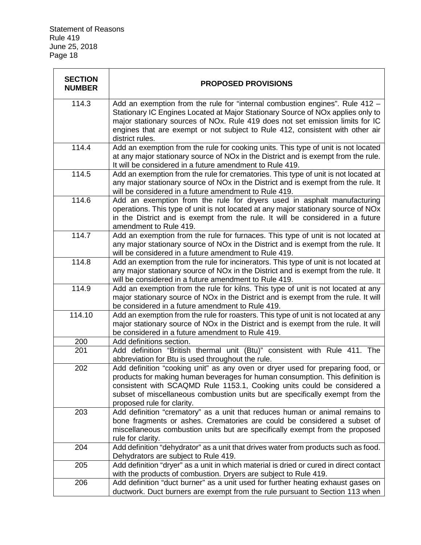| <b>SECTION</b><br><b>NUMBER</b> | <b>PROPOSED PROVISIONS</b>                                                                                                                                                                                                                                                                                                                                       |
|---------------------------------|------------------------------------------------------------------------------------------------------------------------------------------------------------------------------------------------------------------------------------------------------------------------------------------------------------------------------------------------------------------|
| 114.3                           | Add an exemption from the rule for "internal combustion engines". Rule 412 -<br>Stationary IC Engines Located at Major Stationary Source of NO <sub>x</sub> applies only to<br>major stationary sources of NOx. Rule 419 does not set emission limits for IC<br>engines that are exempt or not subject to Rule 412, consistent with other air<br>district rules. |
| 114.4                           | Add an exemption from the rule for cooking units. This type of unit is not located<br>at any major stationary source of NO <sub>x</sub> in the District and is exempt from the rule.<br>It will be considered in a future amendment to Rule 419.                                                                                                                 |
| 114.5                           | Add an exemption from the rule for crematories. This type of unit is not located at<br>any major stationary source of NOx in the District and is exempt from the rule. It<br>will be considered in a future amendment to Rule 419.                                                                                                                               |
| 114.6                           | Add an exemption from the rule for dryers used in asphalt manufacturing<br>operations. This type of unit is not located at any major stationary source of NOx<br>in the District and is exempt from the rule. It will be considered in a future<br>amendment to Rule 419.                                                                                        |
| 114.7                           | Add an exemption from the rule for furnaces. This type of unit is not located at<br>any major stationary source of NOx in the District and is exempt from the rule. It<br>will be considered in a future amendment to Rule 419.                                                                                                                                  |
| 114.8                           | Add an exemption from the rule for incinerators. This type of unit is not located at<br>any major stationary source of NO <sub>x</sub> in the District and is exempt from the rule. It<br>will be considered in a future amendment to Rule 419.                                                                                                                  |
| 114.9                           | Add an exemption from the rule for kilns. This type of unit is not located at any<br>major stationary source of NO <sub>x</sub> in the District and is exempt from the rule. It will<br>be considered in a future amendment to Rule 419.                                                                                                                         |
| 114.10                          | Add an exemption from the rule for roasters. This type of unit is not located at any<br>major stationary source of NO <sub>x</sub> in the District and is exempt from the rule. It will<br>be considered in a future amendment to Rule 419.                                                                                                                      |
| 200                             | Add definitions section.                                                                                                                                                                                                                                                                                                                                         |
| 201                             | Add definition "British thermal unit (Btu)" consistent with Rule 411. The<br>abbreviation for Btu is used throughout the rule.                                                                                                                                                                                                                                   |
| 202                             | Add definition "cooking unit" as any oven or dryer used for preparing food, or<br>products for making human beverages for human consumption. This definition is<br>consistent with SCAQMD Rule 1153.1, Cooking units could be considered a<br>subset of miscellaneous combustion units but are specifically exempt from the<br>proposed rule for clarity.        |
| 203                             | Add definition "crematory" as a unit that reduces human or animal remains to<br>bone fragments or ashes. Crematories are could be considered a subset of<br>miscellaneous combustion units but are specifically exempt from the proposed<br>rule for clarity.                                                                                                    |
| 204                             | Add definition "dehydrator" as a unit that drives water from products such as food.<br>Dehydrators are subject to Rule 419.                                                                                                                                                                                                                                      |
| 205                             | Add definition "dryer" as a unit in which material is dried or cured in direct contact<br>with the products of combustion. Dryers are subject to Rule 419.                                                                                                                                                                                                       |
| 206                             | Add definition "duct burner" as a unit used for further heating exhaust gases on<br>ductwork. Duct burners are exempt from the rule pursuant to Section 113 when                                                                                                                                                                                                 |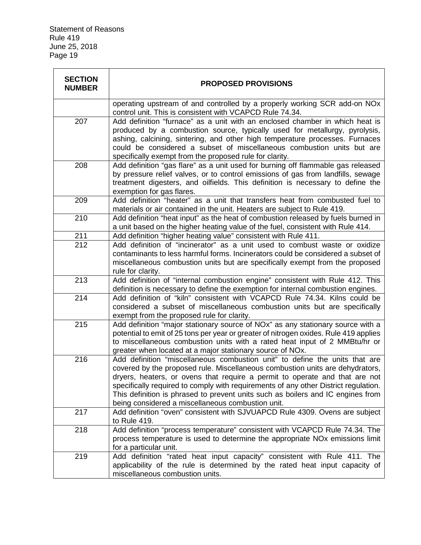| <b>SECTION</b><br><b>NUMBER</b> | <b>PROPOSED PROVISIONS</b>                                                                                                                                                                                                                                                                                                                                                                                                                                                 |
|---------------------------------|----------------------------------------------------------------------------------------------------------------------------------------------------------------------------------------------------------------------------------------------------------------------------------------------------------------------------------------------------------------------------------------------------------------------------------------------------------------------------|
|                                 | operating upstream of and controlled by a properly working SCR add-on NOx<br>control unit. This is consistent with VCAPCD Rule 74.34.                                                                                                                                                                                                                                                                                                                                      |
| 207                             | Add definition "furnace" as a unit with an enclosed chamber in which heat is<br>produced by a combustion source, typically used for metallurgy, pyrolysis,<br>ashing, calcining, sintering, and other high temperature processes. Furnaces<br>could be considered a subset of miscellaneous combustion units but are<br>specifically exempt from the proposed rule for clarity.                                                                                            |
| 208                             | Add definition "gas flare" as a unit used for burning off flammable gas released<br>by pressure relief valves, or to control emissions of gas from landfills, sewage<br>treatment digesters, and oilfields. This definition is necessary to define the<br>exemption for gas flares.                                                                                                                                                                                        |
| 209                             | Add definition "heater" as a unit that transfers heat from combusted fuel to<br>materials or air contained in the unit. Heaters are subject to Rule 419.                                                                                                                                                                                                                                                                                                                   |
| 210                             | Add definition "heat input" as the heat of combustion released by fuels burned in<br>a unit based on the higher heating value of the fuel, consistent with Rule 414.                                                                                                                                                                                                                                                                                                       |
| 211                             | Add definition "higher heating value" consistent with Rule 411.                                                                                                                                                                                                                                                                                                                                                                                                            |
| 212                             | Add definition of "incinerator" as a unit used to combust waste or oxidize<br>contaminants to less harmful forms. Incinerators could be considered a subset of<br>miscellaneous combustion units but are specifically exempt from the proposed<br>rule for clarity.                                                                                                                                                                                                        |
| 213                             | Add definition of "internal combustion engine" consistent with Rule 412. This<br>definition is necessary to define the exemption for internal combustion engines.                                                                                                                                                                                                                                                                                                          |
| 214                             | Add definition of "kiln" consistent with VCAPCD Rule 74.34. Kilns could be<br>considered a subset of miscellaneous combustion units but are specifically<br>exempt from the proposed rule for clarity.                                                                                                                                                                                                                                                                     |
| 215                             | Add definition "major stationary source of NOx" as any stationary source with a<br>potential to emit of 25 tons per year or greater of nitrogen oxides. Rule 419 applies<br>to miscellaneous combustion units with a rated heat input of 2 MMBtu/hr or<br>greater when located at a major stationary source of NOx.                                                                                                                                                        |
| 216                             | Add definition "miscellaneous combustion unit" to define the units that are<br>covered by the proposed rule. Miscellaneous combustion units are dehydrators,<br>dryers, heaters, or ovens that require a permit to operate and that are not<br>specifically required to comply with requirements of any other District regulation.<br>This definition is phrased to prevent units such as boilers and IC engines from<br>being considered a miscellaneous combustion unit. |
| 217                             | Add definition "oven" consistent with SJVUAPCD Rule 4309. Ovens are subject<br>to Rule 419.                                                                                                                                                                                                                                                                                                                                                                                |
| 218                             | Add definition "process temperature" consistent with VCAPCD Rule 74.34. The<br>process temperature is used to determine the appropriate NO <sub>x</sub> emissions limit<br>for a particular unit.                                                                                                                                                                                                                                                                          |
| 219                             | Add definition "rated heat input capacity" consistent with Rule 411. The<br>applicability of the rule is determined by the rated heat input capacity of<br>miscellaneous combustion units.                                                                                                                                                                                                                                                                                 |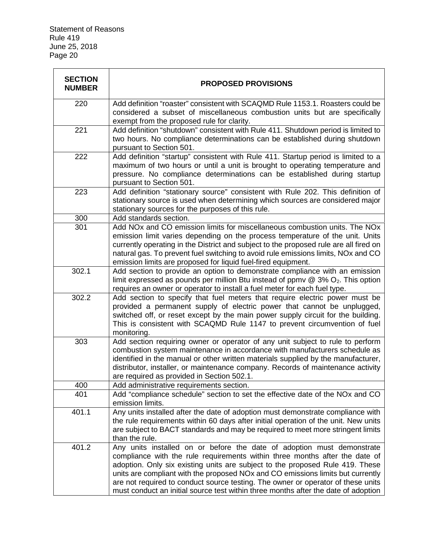| <b>SECTION</b><br><b>NUMBER</b> | <b>PROPOSED PROVISIONS</b>                                                                                                                                                                                                                                                                                                                                                                                                                                                                                      |  |  |
|---------------------------------|-----------------------------------------------------------------------------------------------------------------------------------------------------------------------------------------------------------------------------------------------------------------------------------------------------------------------------------------------------------------------------------------------------------------------------------------------------------------------------------------------------------------|--|--|
| 220                             | Add definition "roaster" consistent with SCAQMD Rule 1153.1. Roasters could be<br>considered a subset of miscellaneous combustion units but are specifically<br>exempt from the proposed rule for clarity.                                                                                                                                                                                                                                                                                                      |  |  |
| 221                             | Add definition "shutdown" consistent with Rule 411. Shutdown period is limited to<br>two hours. No compliance determinations can be established during shutdown<br>pursuant to Section 501.                                                                                                                                                                                                                                                                                                                     |  |  |
| 222                             | Add definition "startup" consistent with Rule 411. Startup period is limited to a<br>maximum of two hours or until a unit is brought to operating temperature and<br>pressure. No compliance determinations can be established during startup<br>pursuant to Section 501.                                                                                                                                                                                                                                       |  |  |
| 223                             | Add definition "stationary source" consistent with Rule 202. This definition of<br>stationary source is used when determining which sources are considered major<br>stationary sources for the purposes of this rule.                                                                                                                                                                                                                                                                                           |  |  |
| 300                             | Add standards section.                                                                                                                                                                                                                                                                                                                                                                                                                                                                                          |  |  |
| 301                             | Add NOx and CO emission limits for miscellaneous combustion units. The NOx<br>emission limit varies depending on the process temperature of the unit. Units<br>currently operating in the District and subject to the proposed rule are all fired on<br>natural gas. To prevent fuel switching to avoid rule emissions limits, NOx and CO<br>emission limits are proposed for liquid fuel-fired equipment.                                                                                                      |  |  |
| 302.1                           | Add section to provide an option to demonstrate compliance with an emission<br>limit expressed as pounds per million Btu instead of ppmv $@$ 3% $O_2$ . This option<br>requires an owner or operator to install a fuel meter for each fuel type.                                                                                                                                                                                                                                                                |  |  |
| 302.2                           | Add section to specify that fuel meters that require electric power must be<br>provided a permanent supply of electric power that cannot be unplugged,<br>switched off, or reset except by the main power supply circuit for the building.<br>This is consistent with SCAQMD Rule 1147 to prevent circumvention of fuel<br>monitoring.                                                                                                                                                                          |  |  |
| 303                             | Add section requiring owner or operator of any unit subject to rule to perform<br>combustion system maintenance in accordance with manufacturers schedule as<br>identified in the manual or other written materials supplied by the manufacturer,<br>distributor, installer, or maintenance company. Records of maintenance activity<br>are required as provided in Section 502.1.                                                                                                                              |  |  |
| 400                             | Add administrative requirements section.                                                                                                                                                                                                                                                                                                                                                                                                                                                                        |  |  |
| 401                             | Add "compliance schedule" section to set the effective date of the NOx and CO<br>emission limits.                                                                                                                                                                                                                                                                                                                                                                                                               |  |  |
| 401.1                           | Any units installed after the date of adoption must demonstrate compliance with<br>the rule requirements within 60 days after initial operation of the unit. New units<br>are subject to BACT standards and may be required to meet more stringent limits<br>than the rule.                                                                                                                                                                                                                                     |  |  |
| 401.2                           | Any units installed on or before the date of adoption must demonstrate<br>compliance with the rule requirements within three months after the date of<br>adoption. Only six existing units are subject to the proposed Rule 419. These<br>units are compliant with the proposed NO <sub>x</sub> and CO emissions limits but currently<br>are not required to conduct source testing. The owner or operator of these units<br>must conduct an initial source test within three months after the date of adoption |  |  |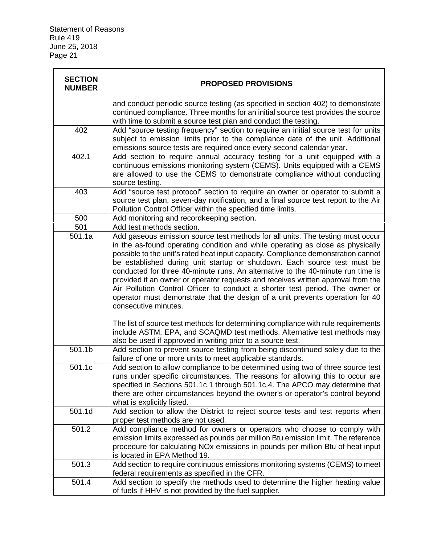| <b>SECTION</b><br><b>NUMBER</b> | <b>PROPOSED PROVISIONS</b>                                                                                                                                                                                                                                                                                                                                                                                                                                                                                                                                                                                                                                                                        |  |  |
|---------------------------------|---------------------------------------------------------------------------------------------------------------------------------------------------------------------------------------------------------------------------------------------------------------------------------------------------------------------------------------------------------------------------------------------------------------------------------------------------------------------------------------------------------------------------------------------------------------------------------------------------------------------------------------------------------------------------------------------------|--|--|
|                                 | and conduct periodic source testing (as specified in section 402) to demonstrate<br>continued compliance. Three months for an initial source test provides the source<br>with time to submit a source test plan and conduct the testing.                                                                                                                                                                                                                                                                                                                                                                                                                                                          |  |  |
| 402                             | Add "source testing frequency" section to require an initial source test for units<br>subject to emission limits prior to the compliance date of the unit. Additional<br>emissions source tests are required once every second calendar year.                                                                                                                                                                                                                                                                                                                                                                                                                                                     |  |  |
| 402.1                           | Add section to require annual accuracy testing for a unit equipped with a<br>continuous emissions monitoring system (CEMS). Units equipped with a CEMS<br>are allowed to use the CEMS to demonstrate compliance without conducting<br>source testing.                                                                                                                                                                                                                                                                                                                                                                                                                                             |  |  |
| 403                             | Add "source test protocol" section to require an owner or operator to submit a<br>source test plan, seven-day notification, and a final source test report to the Air<br>Pollution Control Officer within the specified time limits.                                                                                                                                                                                                                                                                                                                                                                                                                                                              |  |  |
| 500                             | Add monitoring and recordkeeping section.                                                                                                                                                                                                                                                                                                                                                                                                                                                                                                                                                                                                                                                         |  |  |
| 501                             | Add test methods section.                                                                                                                                                                                                                                                                                                                                                                                                                                                                                                                                                                                                                                                                         |  |  |
| 501.1a                          | Add gaseous emission source test methods for all units. The testing must occur<br>in the as-found operating condition and while operating as close as physically<br>possible to the unit's rated heat input capacity. Compliance demonstration cannot<br>be established during unit startup or shutdown. Each source test must be<br>conducted for three 40-minute runs. An alternative to the 40-minute run time is<br>provided if an owner or operator requests and receives written approval from the<br>Air Pollution Control Officer to conduct a shorter test period. The owner or<br>operator must demonstrate that the design of a unit prevents operation for 40<br>consecutive minutes. |  |  |
|                                 | The list of source test methods for determining compliance with rule requirements<br>include ASTM, EPA, and SCAQMD test methods. Alternative test methods may<br>also be used if approved in writing prior to a source test.                                                                                                                                                                                                                                                                                                                                                                                                                                                                      |  |  |
| 501.1b                          | Add section to prevent source testing from being discontinued solely due to the<br>failure of one or more units to meet applicable standards.                                                                                                                                                                                                                                                                                                                                                                                                                                                                                                                                                     |  |  |
| 501.1c                          | Add section to allow compliance to be determined using two of three source test<br>runs under specific circumstances. The reasons for allowing this to occur are<br>specified in Sections 501.1c.1 through 501.1c.4. The APCO may determine that<br>there are other circumstances beyond the owner's or operator's control beyond<br>what is explicitly listed.                                                                                                                                                                                                                                                                                                                                   |  |  |
| 501.1d                          | Add section to allow the District to reject source tests and test reports when<br>proper test methods are not used.                                                                                                                                                                                                                                                                                                                                                                                                                                                                                                                                                                               |  |  |
| 501.2                           | Add compliance method for owners or operators who choose to comply with<br>emission limits expressed as pounds per million Btu emission limit. The reference<br>procedure for calculating NO <sub>x</sub> emissions in pounds per million Btu of heat input<br>is located in EPA Method 19.                                                                                                                                                                                                                                                                                                                                                                                                       |  |  |
| 501.3                           | Add section to require continuous emissions monitoring systems (CEMS) to meet<br>federal requirements as specified in the CFR.                                                                                                                                                                                                                                                                                                                                                                                                                                                                                                                                                                    |  |  |
| 501.4                           | Add section to specify the methods used to determine the higher heating value<br>of fuels if HHV is not provided by the fuel supplier.                                                                                                                                                                                                                                                                                                                                                                                                                                                                                                                                                            |  |  |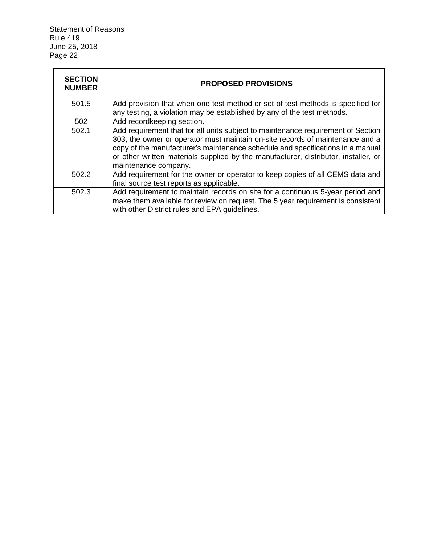| <b>SECTION</b><br><b>NUMBER</b> | <b>PROPOSED PROVISIONS</b>                                                                                                                                                                                                                                                                                                                                         |  |  |
|---------------------------------|--------------------------------------------------------------------------------------------------------------------------------------------------------------------------------------------------------------------------------------------------------------------------------------------------------------------------------------------------------------------|--|--|
| 501.5                           | Add provision that when one test method or set of test methods is specified for<br>any testing, a violation may be established by any of the test methods.                                                                                                                                                                                                         |  |  |
| 502                             | Add recordkeeping section.                                                                                                                                                                                                                                                                                                                                         |  |  |
| 502.1                           | Add requirement that for all units subject to maintenance requirement of Section<br>303, the owner or operator must maintain on-site records of maintenance and a<br>copy of the manufacturer's maintenance schedule and specifications in a manual<br>or other written materials supplied by the manufacturer, distributor, installer, or<br>maintenance company. |  |  |
| 502.2                           | Add requirement for the owner or operator to keep copies of all CEMS data and<br>final source test reports as applicable.                                                                                                                                                                                                                                          |  |  |
| 502.3                           | Add requirement to maintain records on site for a continuous 5-year period and<br>make them available for review on request. The 5 year requirement is consistent<br>with other District rules and EPA guidelines.                                                                                                                                                 |  |  |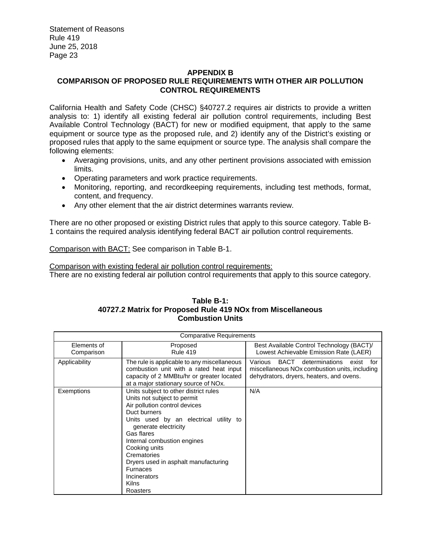## **APPENDIX B COMPARISON OF PROPOSED RULE REQUIREMENTS WITH OTHER AIR POLLUTION CONTROL REQUIREMENTS**

California Health and Safety Code (CHSC) §40727.2 requires air districts to provide a written analysis to: 1) identify all existing federal air pollution control requirements, including Best Available Control Technology (BACT) for new or modified equipment, that apply to the same equipment or source type as the proposed rule, and 2) identify any of the District's existing or proposed rules that apply to the same equipment or source type. The analysis shall compare the following elements:

- Averaging provisions, units, and any other pertinent provisions associated with emission limits.
- Operating parameters and work practice requirements.
- Monitoring, reporting, and recordkeeping requirements, including test methods, format, content, and frequency.
- Any other element that the air district determines warrants review.

There are no other proposed or existing District rules that apply to this source category. Table B-1 contains the required analysis identifying federal BACT air pollution control requirements.

Comparison with BACT: See comparison in Table B-1.

Comparison with existing federal air pollution control requirements:

There are no existing federal air pollution control requirements that apply to this source category.

#### **Table B-1: 40727.2 Matrix for Proposed Rule 419 NOx from Miscellaneous Combustion Units**

| <b>Comparative Requirements</b> |                                                                                                                                                                                                                                                                                                                                                                      |                                                                                                                                                |  |  |
|---------------------------------|----------------------------------------------------------------------------------------------------------------------------------------------------------------------------------------------------------------------------------------------------------------------------------------------------------------------------------------------------------------------|------------------------------------------------------------------------------------------------------------------------------------------------|--|--|
| Elements of<br>Comparison       | Proposed<br><b>Rule 419</b>                                                                                                                                                                                                                                                                                                                                          | Best Available Control Technology (BACT)/<br>Lowest Achievable Emission Rate (LAER)                                                            |  |  |
| Applicability                   | The rule is applicable to any miscellaneous<br>combustion unit with a rated heat input<br>capacity of 2 MMBtu/hr or greater located<br>at a major stationary source of NOx.                                                                                                                                                                                          | Various<br>BACT<br>determinations<br>exist<br>for<br>miscellaneous NOx combustion units, including<br>dehydrators, dryers, heaters, and ovens. |  |  |
| Exemptions                      | Units subject to other district rules<br>Units not subject to permit<br>Air pollution control devices<br>Duct burners<br>Units used by an electrical utility to<br>generate electricity<br>Gas flares<br>Internal combustion engines<br>Cooking units<br>Crematories<br>Dryers used in asphalt manufacturing<br><b>Furnaces</b><br>Incinerators<br>Kilns<br>Roasters | N/A                                                                                                                                            |  |  |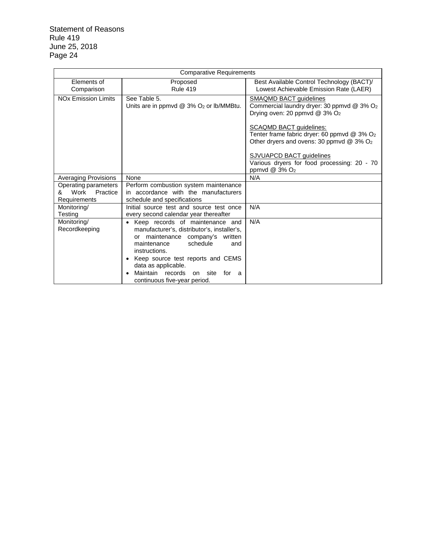| <b>Comparative Requirements</b>               |                                                                                                                                                                                                                                                                                                                     |                                                                                                                                                                                                                                                                          |  |  |  |
|-----------------------------------------------|---------------------------------------------------------------------------------------------------------------------------------------------------------------------------------------------------------------------------------------------------------------------------------------------------------------------|--------------------------------------------------------------------------------------------------------------------------------------------------------------------------------------------------------------------------------------------------------------------------|--|--|--|
| Elements of                                   | Proposed                                                                                                                                                                                                                                                                                                            | Best Available Control Technology (BACT)/                                                                                                                                                                                                                                |  |  |  |
| Comparison                                    | <b>Rule 419</b>                                                                                                                                                                                                                                                                                                     | Lowest Achievable Emission Rate (LAER)                                                                                                                                                                                                                                   |  |  |  |
| <b>NO<sub>x</sub></b> Emission Limits         | See Table 5.<br>Units are in ppmvd $@$ 3% $O2$ or lb/MMBtu.                                                                                                                                                                                                                                                         | <b>SMAQMD BACT guidelines</b><br>Commercial laundry dryer: 30 ppmvd @ 3% O <sub>2</sub><br>Drying oven: 20 ppmvd @ $3\%$ O <sub>2</sub><br><b>SCAQMD BACT guidelines:</b><br>Tenter frame fabric dryer: 60 ppmvd $@$ 3% $O2$<br>Other dryers and ovens: 30 ppmvd @ 3% O2 |  |  |  |
|                                               |                                                                                                                                                                                                                                                                                                                     | SJVUAPCD BACT guidelines<br>Various dryers for food processing: 20 - 70<br>ppmvd @ 3% O <sub>2</sub>                                                                                                                                                                     |  |  |  |
| <b>Averaging Provisions</b>                   | None                                                                                                                                                                                                                                                                                                                | N/A                                                                                                                                                                                                                                                                      |  |  |  |
| Operating parameters<br>Work<br>Practice<br>& | Perform combustion system maintenance<br>in accordance with the manufacturers                                                                                                                                                                                                                                       |                                                                                                                                                                                                                                                                          |  |  |  |
| Requirements                                  | schedule and specifications                                                                                                                                                                                                                                                                                         |                                                                                                                                                                                                                                                                          |  |  |  |
| Monitoring/                                   | Initial source test and source test once                                                                                                                                                                                                                                                                            | N/A                                                                                                                                                                                                                                                                      |  |  |  |
| <b>Testing</b>                                | every second calendar year thereafter                                                                                                                                                                                                                                                                               |                                                                                                                                                                                                                                                                          |  |  |  |
| Monitoring/<br>Recordkeeping                  | • Keep records of maintenance and<br>manufacturer's, distributor's, installer's,<br>maintenance company's written<br>or<br>schedule<br>maintenance<br>and<br>instructions.<br>Keep source test reports and CEMS<br>data as applicable.<br>Maintain records<br>on site<br>for<br>- a<br>continuous five-year period. | N/A                                                                                                                                                                                                                                                                      |  |  |  |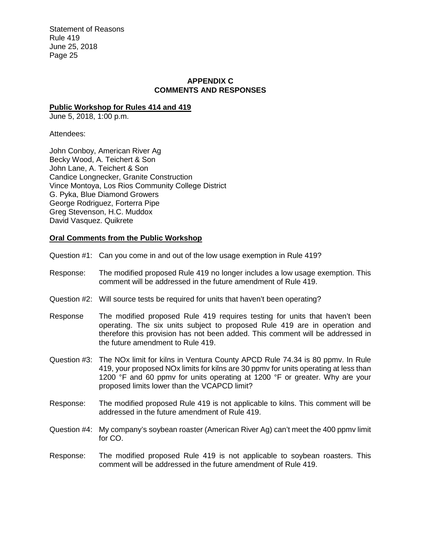#### **APPENDIX C COMMENTS AND RESPONSES**

#### **Public Workshop for Rules 414 and 419**

June 5, 2018, 1:00 p.m.

Attendees:

John Conboy, American River Ag Becky Wood, A. Teichert & Son John Lane, A. Teichert & Son Candice Longnecker, Granite Construction Vince Montoya, Los Rios Community College District G. Pyka, Blue Diamond Growers George Rodriguez, Forterra Pipe Greg Stevenson, H.C. Muddox David Vasquez. Quikrete

#### **Oral Comments from the Public Workshop**

Question #1: Can you come in and out of the low usage exemption in Rule 419?

- Response: The modified proposed Rule 419 no longer includes a low usage exemption. This comment will be addressed in the future amendment of Rule 419.
- Question #2: Will source tests be required for units that haven't been operating?
- Response The modified proposed Rule 419 requires testing for units that haven't been operating. The six units subject to proposed Rule 419 are in operation and therefore this provision has not been added. This comment will be addressed in the future amendment to Rule 419.
- Question #3: The NOx limit for kilns in Ventura County APCD Rule 74.34 is 80 ppmv. In Rule 419, your proposed NOx limits for kilns are 30 ppmv for units operating at less than 1200 °F and 60 ppmy for units operating at 1200 °F or greater. Why are your proposed limits lower than the VCAPCD limit?
- Response: The modified proposed Rule 419 is not applicable to kilns. This comment will be addressed in the future amendment of Rule 419.
- Question #4: My company's soybean roaster (American River Ag) can't meet the 400 ppmv limit for CO.
- Response: The modified proposed Rule 419 is not applicable to soybean roasters. This comment will be addressed in the future amendment of Rule 419.